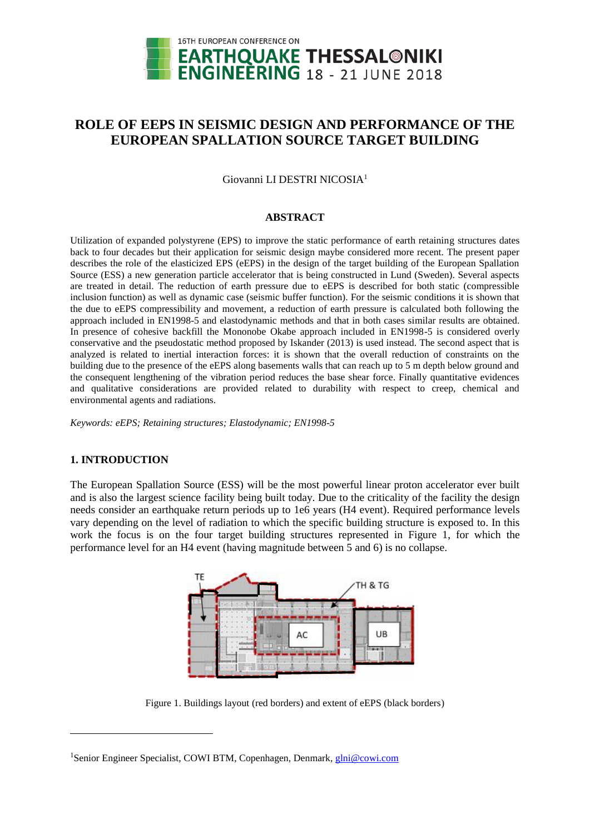

# **ROLE OF EEPS IN SEISMIC DESIGN AND PERFORMANCE OF THE EUROPEAN SPALLATION SOURCE TARGET BUILDING**

Giovanni LI DESTRI NICOSIA<sup>1</sup>

### **ABSTRACT**

Utilization of expanded polystyrene (EPS) to improve the static performance of earth retaining structures dates back to four decades but their application for seismic design maybe considered more recent. The present paper describes the role of the elasticized EPS (eEPS) in the design of the target building of the European Spallation Source (ESS) a new generation particle accelerator that is being constructed in Lund (Sweden). Several aspects are treated in detail. The reduction of earth pressure due to eEPS is described for both static (compressible inclusion function) as well as dynamic case (seismic buffer function). For the seismic conditions it is shown that the due to eEPS compressibility and movement, a reduction of earth pressure is calculated both following the approach included in EN1998-5 and elastodynamic methods and that in both cases similar results are obtained. In presence of cohesive backfill the Mononobe Okabe approach included in EN1998-5 is considered overly conservative and the pseudostatic method proposed by Iskander (2013) is used instead. The second aspect that is analyzed is related to inertial interaction forces: it is shown that the overall reduction of constraints on the building due to the presence of the eEPS along basements walls that can reach up to 5 m depth below ground and the consequent lengthening of the vibration period reduces the base shear force. Finally quantitative evidences and qualitative considerations are provided related to durability with respect to creep, chemical and environmental agents and radiations.

*Keywords: eEPS; Retaining structures; Elastodynamic; EN1998-5*

## **1. INTRODUCTION**

l

The European Spallation Source (ESS) will be the most powerful linear proton accelerator ever built and is also the largest science facility being built today. Due to the criticality of the facility the design needs consider an earthquake return periods up to 1e6 years (H4 event). Required performance levels vary depending on the level of radiation to which the specific building structure is exposed to. In this work the focus is on the four target building structures represented in Figure 1, for which the performance level for an H4 event (having magnitude between 5 and 6) is no collapse.



Figure 1. Buildings layout (red borders) and extent of eEPS (black borders)

<sup>&</sup>lt;sup>1</sup>Senior Engineer Specialist, COWI BTM, Copenhagen, Denmark, *glni@cowi.com*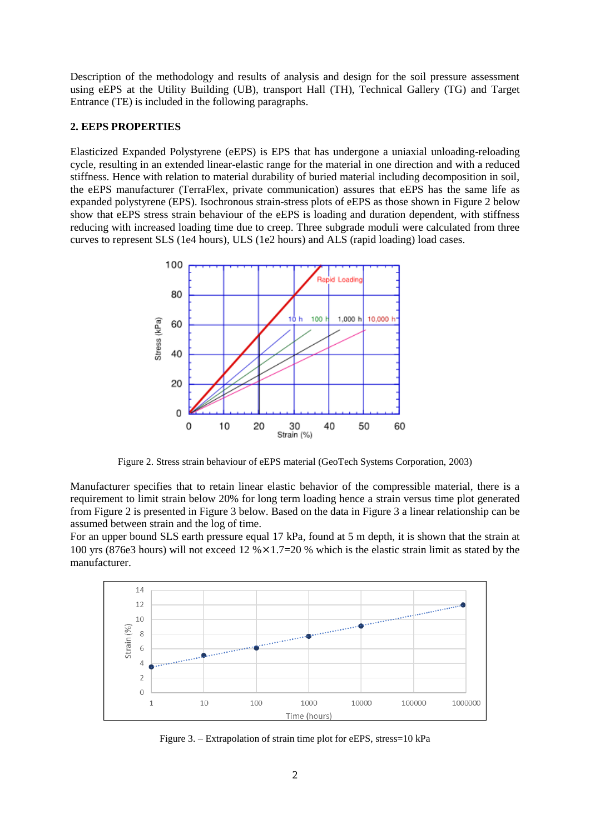Description of the methodology and results of analysis and design for the soil pressure assessment using eEPS at the Utility Building (UB), transport Hall (TH), Technical Gallery (TG) and Target Entrance (TE) is included in the following paragraphs.

## **2. EEPS PROPERTIES**

Elasticized Expanded Polystyrene (eEPS) is EPS that has undergone a uniaxial unloading-reloading cycle, resulting in an extended linear-elastic range for the material in one direction and with a reduced stiffness. Hence with relation to material durability of buried material including decomposition in soil, the eEPS manufacturer (TerraFlex, private communication) assures that eEPS has the same life as expanded polystyrene (EPS). Isochronous strain-stress plots of eEPS as those shown in Figure 2 below show that eEPS stress strain behaviour of the eEPS is loading and duration dependent, with stiffness reducing with increased loading time due to creep. Three subgrade moduli were calculated from three curves to represent SLS (1e4 hours), ULS (1e2 hours) and ALS (rapid loading) load cases.



Figure 2. Stress strain behaviour of eEPS material (GeoTech Systems Corporation, 2003)

Manufacturer specifies that to retain linear elastic behavior of the compressible material, there is a requirement to limit strain below 20% for long term loading hence a strain versus time plot generated from Figure 2 is presented in Figure 3 below. Based on the data in Figure 3 a linear relationship can be assumed between strain and the log of time.

For an upper bound SLS earth pressure equal 17 kPa, found at 5 m depth, it is shown that the strain at 100 yrs (876e3 hours) will not exceed 12  $\frac{6}{2} \times 1.7=20$  % which is the elastic strain limit as stated by the manufacturer.



Figure 3. – Extrapolation of strain time plot for eEPS, stress=10 kPa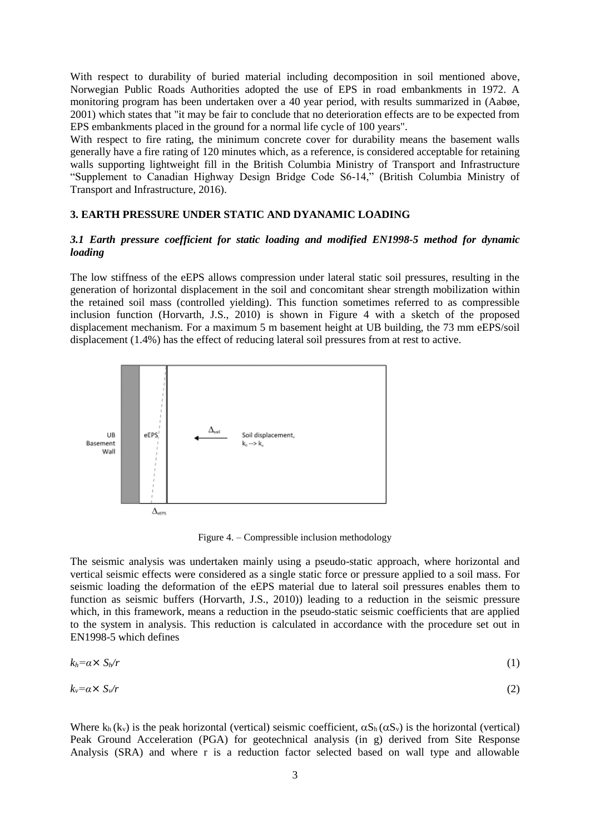With respect to durability of buried material including decomposition in soil mentioned above, Norwegian Public Roads Authorities adopted the use of EPS in road embankments in 1972. A monitoring program has been undertaken over a 40 year period, with results summarized in (Aabøe, 2001) which states that "it may be fair to conclude that no deterioration effects are to be expected from EPS embankments placed in the ground for a normal life cycle of 100 years".

With respect to fire rating, the minimum concrete cover for durability means the basement walls generally have a fire rating of 120 minutes which, as a reference, is considered acceptable for retaining walls supporting lightweight fill in the British Columbia Ministry of Transport and Infrastructure "Supplement to Canadian Highway Design Bridge Code S6-14," (British Columbia Ministry of Transport and Infrastructure, 2016).

## **3. EARTH PRESSURE UNDER STATIC AND DYANAMIC LOADING**

# *3.1 Earth pressure coefficient for static loading and modified EN1998-5 method for dynamic loading*

The low stiffness of the eEPS allows compression under lateral static soil pressures, resulting in the generation of horizontal displacement in the soil and concomitant shear strength mobilization within the retained soil mass (controlled yielding). This function sometimes referred to as compressible inclusion function (Horvarth, J.S., 2010) is shown in Figure 4 with a sketch of the proposed displacement mechanism. For a maximum 5 m basement height at UB building, the 73 mm eEPS/soil displacement (1.4%) has the effect of reducing lateral soil pressures from at rest to active.



Figure 4. – Compressible inclusion methodology

The seismic analysis was undertaken mainly using a pseudo-static approach, where horizontal and vertical seismic effects were considered as a single static force or pressure applied to a soil mass. For seismic loading the deformation of the eEPS material due to lateral soil pressures enables them to function as seismic buffers (Horvarth, J.S., 2010)) leading to a reduction in the seismic pressure which, in this framework, means a reduction in the pseudo-static seismic coefficients that are applied to the system in analysis. This reduction is calculated in accordance with the procedure set out in EN1998-5 which defines

$$
k_h = \alpha \times S_h / r \tag{1}
$$

$$
k_v = \alpha \times S_v / r \tag{2}
$$

Where  $k_h(k_v)$  is the peak horizontal (vertical) seismic coefficient,  $\alpha S_h(\alpha S_v)$  is the horizontal (vertical) Peak Ground Acceleration (PGA) for geotechnical analysis (in g) derived from Site Response Analysis (SRA) and where r is a reduction factor selected based on wall type and allowable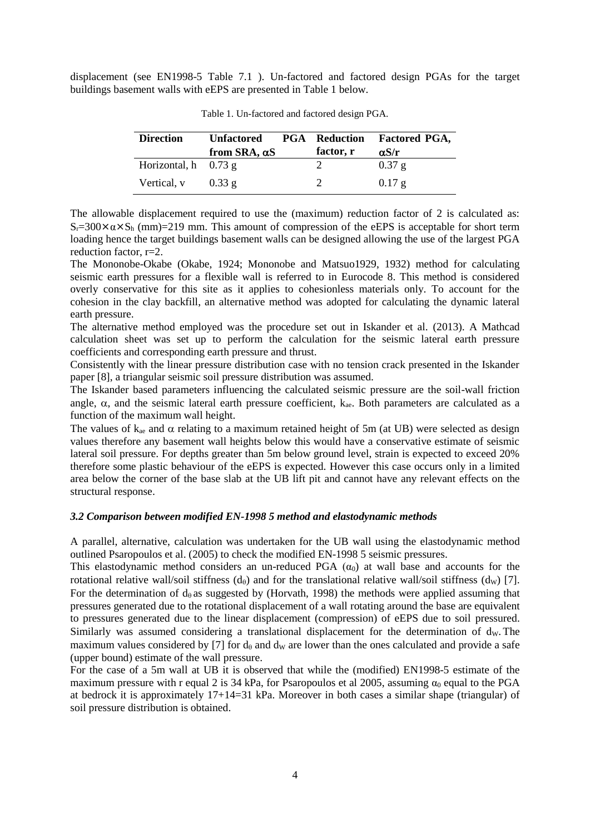displacement (see EN1998-5 Table 7.1 ). Un-factored and factored design PGAs for the target buildings basement walls with eEPS are presented in Table 1 below.

| <b>Direction</b>         | <b>Unfactored</b><br>from SRA, $\alpha$ S | <b>PGA</b> Reduction<br>factor, r | <b>Factored PGA,</b><br>$\alpha S/r$ |
|--------------------------|-------------------------------------------|-----------------------------------|--------------------------------------|
| Horizontal, $h = 0.73$ g |                                           |                                   | $0.37$ g                             |
| Vertical, <i>v</i>       | 0.33g                                     |                                   | $0.17$ g                             |

Table 1. Un-factored and factored design PGA.

The allowable displacement required to use the (maximum) reduction factor of 2 is calculated as:  $S_r=300\times\alpha\times S_h$  (mm)=219 mm. This amount of compression of the eEPS is acceptable for short term loading hence the target buildings basement walls can be designed allowing the use of the largest PGA reduction factor, r=2.

The Mononobe-Okabe (Okabe, 1924; Mononobe and Matsuo1929, 1932) method for calculating seismic earth pressures for a flexible wall is referred to in Eurocode 8. This method is considered overly conservative for this site as it applies to cohesionless materials only. To account for the cohesion in the clay backfill, an alternative method was adopted for calculating the dynamic lateral earth pressure.

The alternative method employed was the procedure set out in Iskander et al. (2013). A Mathcad calculation sheet was set up to perform the calculation for the seismic lateral earth pressure coefficients and corresponding earth pressure and thrust.

Consistently with the linear pressure distribution case with no tension crack presented in the Iskander paper [8], a triangular seismic soil pressure distribution was assumed.

The Iskander based parameters influencing the calculated seismic pressure are the soil-wall friction angle,  $\alpha$ , and the seismic lateral earth pressure coefficient,  $k_{ae}$ . Both parameters are calculated as a function of the maximum wall height.

The values of  $k_{ae}$  and  $\alpha$  relating to a maximum retained height of 5m (at UB) were selected as design values therefore any basement wall heights below this would have a conservative estimate of seismic lateral soil pressure. For depths greater than 5m below ground level, strain is expected to exceed 20% therefore some plastic behaviour of the eEPS is expected. However this case occurs only in a limited area below the corner of the base slab at the UB lift pit and cannot have any relevant effects on the structural response.

### *3.2 Comparison between modified EN-1998 5 method and elastodynamic methods*

A parallel, alternative, calculation was undertaken for the UB wall using the elastodynamic method outlined Psaropoulos et al. (2005) to check the modified EN-1998 5 seismic pressures.

This elastodynamic method considers an un-reduced PGA  $(\alpha_0)$  at wall base and accounts for the rotational relative wall/soil stiffness  $(d_0)$  and for the translational relative wall/soil stiffness  $(d_w)$  [7]. For the determination of  $d_{\theta}$  as suggested by (Horvath, 1998) the methods were applied assuming that pressures generated due to the rotational displacement of a wall rotating around the base are equivalent to pressures generated due to the linear displacement (compression) of eEPS due to soil pressured. Similarly was assumed considering a translational displacement for the determination of  $d<sub>W</sub>$ . The maximum values considered by [7] for  $d_{\theta}$  and  $d_{\theta}$  are lower than the ones calculated and provide a safe (upper bound) estimate of the wall pressure.

For the case of a 5m wall at UB it is observed that while the (modified) EN1998-5 estimate of the maximum pressure with r equal 2 is 34 kPa, for Psaropoulos et al 2005, assuming  $\alpha_0$  equal to the PGA at bedrock it is approximately 17+14=31 kPa. Moreover in both cases a similar shape (triangular) of soil pressure distribution is obtained.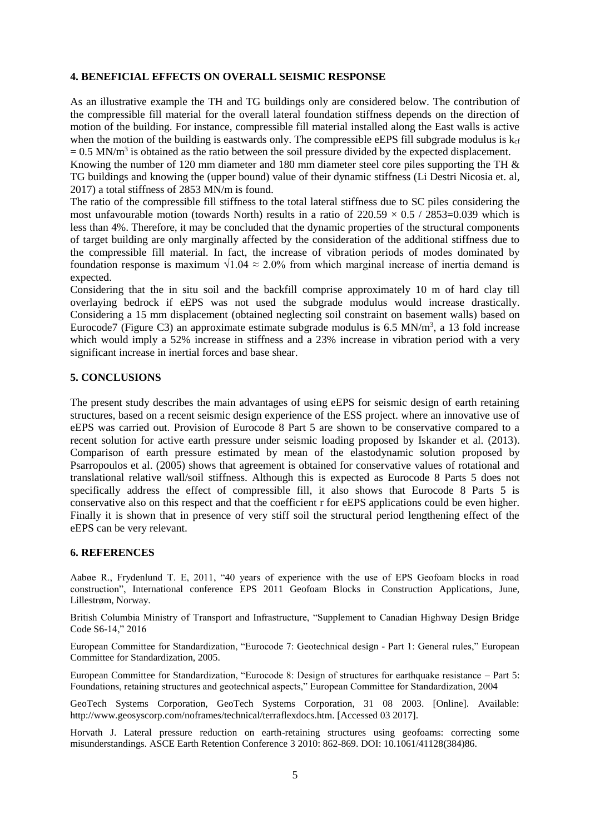## **4. BENEFICIAL EFFECTS ON OVERALL SEISMIC RESPONSE**

As an illustrative example the TH and TG buildings only are considered below. The contribution of the compressible fill material for the overall lateral foundation stiffness depends on the direction of motion of the building. For instance, compressible fill material installed along the East walls is active when the motion of the building is eastwards only. The compressible eEPS fill subgrade modulus is  $k_{cf}$  $= 0.5$  MN/m<sup>3</sup> is obtained as the ratio between the soil pressure divided by the expected displacement.

Knowing the number of 120 mm diameter and 180 mm diameter steel core piles supporting the TH & TG buildings and knowing the (upper bound) value of their dynamic stiffness (Li Destri Nicosia et. al, 2017) a total stiffness of 2853 MN/m is found.

The ratio of the compressible fill stiffness to the total lateral stiffness due to SC piles considering the most unfavourable motion (towards North) results in a ratio of  $220.59 \times 0.5 / 2853 = 0.039$  which is less than 4%. Therefore, it may be concluded that the dynamic properties of the structural components of target building are only marginally affected by the consideration of the additional stiffness due to the compressible fill material. In fact, the increase of vibration periods of modes dominated by foundation response is maximum  $\sqrt{1.04} \approx 2.0\%$  from which marginal increase of inertia demand is expected.

Considering that the in situ soil and the backfill comprise approximately 10 m of hard clay till overlaying bedrock if eEPS was not used the subgrade modulus would increase drastically. Considering a 15 mm displacement (obtained neglecting soil constraint on basement walls) based on Eurocode7 (Figure C3) an approximate estimate subgrade modulus is  $6.5$  MN/m<sup>3</sup>, a 13 fold increase which would imply a 52% increase in stiffness and a 23% increase in vibration period with a very significant increase in inertial forces and base shear.

## **5. CONCLUSIONS**

The present study describes the main advantages of using eEPS for seismic design of earth retaining structures, based on a recent seismic design experience of the ESS project. where an innovative use of eEPS was carried out. Provision of Eurocode 8 Part 5 are shown to be conservative compared to a recent solution for active earth pressure under seismic loading proposed by Iskander et al. (2013). Comparison of earth pressure estimated by mean of the elastodynamic solution proposed by Psarropoulos et al. (2005) shows that agreement is obtained for conservative values of rotational and translational relative wall/soil stiffness. Although this is expected as Eurocode 8 Parts 5 does not specifically address the effect of compressible fill, it also shows that Eurocode 8 Parts 5 is conservative also on this respect and that the coefficient r for eEPS applications could be even higher. Finally it is shown that in presence of very stiff soil the structural period lengthening effect of the eEPS can be very relevant.

## **6. REFERENCES**

Aabøe R., Frydenlund T. E, 2011, "40 years of experience with the use of EPS Geofoam blocks in road construction", International conference EPS 2011 Geofoam Blocks in Construction Applications, June, Lillestrøm, Norway.

British Columbia Ministry of Transport and Infrastructure, "Supplement to Canadian Highway Design Bridge Code S6-14," 2016

European Committee for Standardization, "Eurocode 7: Geotechnical design - Part 1: General rules," European Committee for Standardization, 2005.

European Committee for Standardization, "Eurocode 8: Design of structures for earthquake resistance – Part 5: Foundations, retaining structures and geotechnical aspects," European Committee for Standardization, 2004

GeoTech Systems Corporation, GeoTech Systems Corporation, 31 08 2003. [Online]. Available: http://www.geosyscorp.com/noframes/technical/terraflexdocs.htm. [Accessed 03 2017].

Horvath J. Lateral pressure reduction on earth-retaining structures using geofoams: correcting some misunderstandings. ASCE Earth Retention Conference 3 2010: 862-869. DOI: 10.1061/41128(384)86.